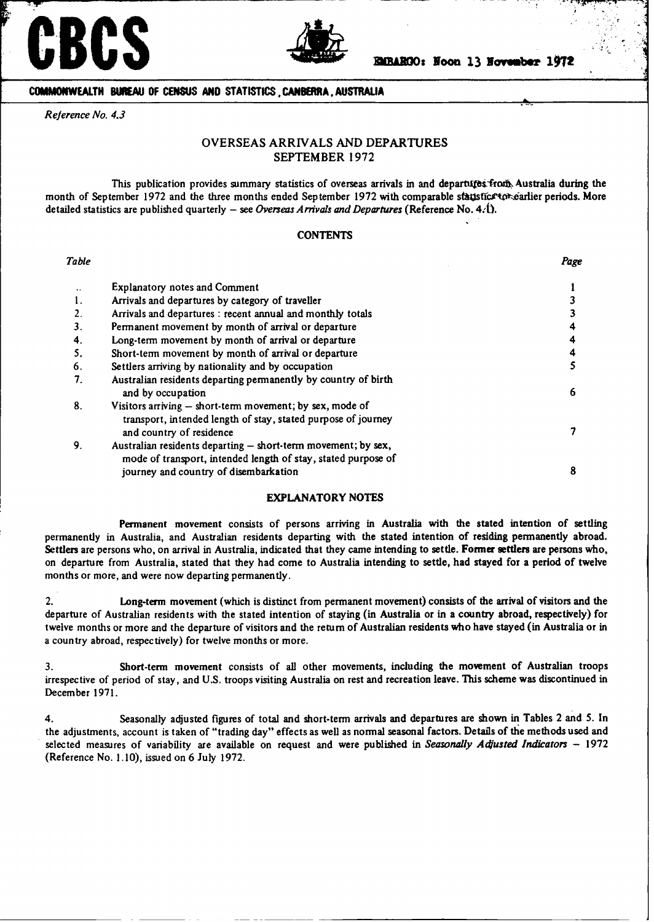

医皮



**COMMONIWEALTH BUREAU OF CENSUS AND STATISTICS, CANBERRA, AUSTRALIA**

*Reference No. 4.3*

# OVERSEAS ARRIVALS AND DEPARTURES SEPTEMBER 1972

This publication provides summary statistics of overseas arrivals in and departifies from, Australia during the month of September 1972 and the three months ended September 1972 with comparable stagsfice to earlier periods. More detailed statistics are published quarterly - see Overseas Arrivals and Departures (Reference No. 4.1).

#### **CONTENTS**

| Table |                                                                                                                                                                         | Page |
|-------|-------------------------------------------------------------------------------------------------------------------------------------------------------------------------|------|
|       | <b>Explanatory notes and Comment</b>                                                                                                                                    |      |
|       | Arrivals and departures by category of traveller                                                                                                                        |      |
|       | Arrivals and departures : recent annual and monthly totals                                                                                                              |      |
| 3.    | Permanent movement by month of arrival or departure                                                                                                                     |      |
| 4.    | Long-term movement by month of arrival or departure                                                                                                                     |      |
| 5.    | Short-term movement by month of arrival or departure                                                                                                                    |      |
| 6.    | Settlers arriving by nationality and by occupation                                                                                                                      |      |
| 7.    | Australian residents departing permanently by country of birth<br>and by occupation                                                                                     | 6    |
| 8.    | Visitors arriving - short-term movement; by sex, mode of<br>transport, intended length of stay, stated purpose of journey<br>and country of residence                   |      |
| 9.    | Australian residents departing - short-term movement; by sex,<br>mode of transport, intended length of stay, stated purpose of<br>journey and country of disembarkation | 8    |

## EXPLANATORY NOTES

**Permanent movement** consists of persons arriving in Australia with the stated **intention** of settling permanently in Australia, and Australian residents departing with the stated **intention of residing** permanently abroad. **Settlers are** persons who, on arrival in Australia, indicated that they came **intending to settle. Former settlers** are persons who, on departure from Australia, stated that they had come to Australia **intending** to settle, had stayed for a period of twelve months or more, and were now departing permanently.

2. **Long-term movement** (which is distinct from permanent movement) consists of the arrival of visitors and the departure of Australian residents with the stated intention of staying (in Australia or in a country abroad, respectively) for twelve months or more and the departure of visitors and the return of Australian **residents** who have stayed (in Australia or in a country abroad, respectively) for twelve months or more.

3. Short-term **movement** consists of all other movements, including the movement of Australian troops irrespective of period of stay, and U.S. troops visiting Australia on rest and recreation **leave.** This scheme was discontinued in December 1971.

4. Seasonally adjusted figures of total and short-term arrivals and departures are shown in Tables 2 and 5. In the adjustments, account is taken of "trading day" effects as well as **normal** seasonal factors. Details of the methods used and selected measures of variability are available on request and were published in *Seasonally Adjusted Indicators* - 1972 (Reference No. 1.10), issued on 6 July 1972.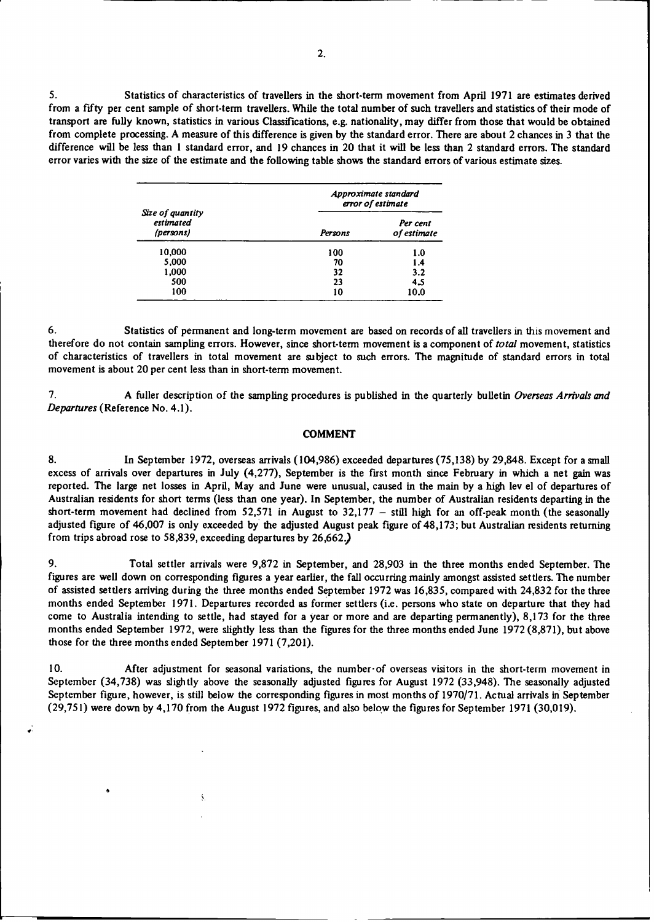5. **Statistics of characteristics of travellers in the short-term movement from April 1971 are estimates derived** from a fifty **per cent sample of short-term travellers. While the total number of such travellers and statistics of their mode of** transport **are fully known, statistics in various Classifications, e.g. nationality, may differ from those that would be obtained from complete processing. A measure of this difference is given by the standard error.** There **are about 2 chances in 3 that the difference will** be **less** than **1 standard error, and 19 chances** in **20 that it will** be **less** than **2 standard errors. The standard error varies with the size of the estimate and the following table shows the standard errors of various estimate sizes.**

| Size of quantity<br>estimated<br>(persons) | Approximate standard<br>error of estimate |                         |  |  |  |
|--------------------------------------------|-------------------------------------------|-------------------------|--|--|--|
|                                            | Persons                                   | Per cent<br>of estimate |  |  |  |
| 10,000                                     | 100                                       | 1.0                     |  |  |  |
| 5.000                                      | 70                                        | 1.4                     |  |  |  |
| 1,000                                      | 32                                        | 3.2                     |  |  |  |
| 500                                        | 23                                        | 4.5                     |  |  |  |
| 100                                        | 10                                        | 10.0                    |  |  |  |

6. Statistics of permanent and long-term movement are based on records of all travellers in this movement and therefore do not contain sampling errors. However, since short-term movement is a component of *total* movement, statistics of characteristics of travellers in total movement are subject to such errors. The magnitude of standard errors in total movement is about 20 per cent less than in short-term movement.

7. A fuller description of the sampling procedures is published in the quarterly bulletin *Overseas Arrivals and Departures* (Reference No. 4.1).

#### COMMENT

8. In September 1972, overseas arrivals (104,986) exceeded departures (75,138) by 29,848. Except for a small excess of arrivals over departures in July (4,277), September is the first month since February in which a net gain was reported. The large net losses in April, May and June were unusual, caused in the main by a high lev el of departures of Australian residents for short terms (less than one year). In September, the number of Australian residents departing in the short-term movement had declined from 52,571 in August to  $32,177 -$  still high for an off-peak month (the seasonally adjusted figure of 46,007 is only exceeded by the adjusted August peak figure of 48,173; but Australian residents returning from trips abroad rose to 58,839, exceeding departures by 26,662.)

9. Total settler arrivals were 9,872 in September, and 28,903 in the three months ended September. The figures are well down on corresponding figures a year earlier, the fall occurring mainly amongst assisted settlers. The number of assisted settlers arriving during the three months ended September 1972 was 16,835, compared with 24,832 for the three months ended September 1971. Departures recorded as former settlers (i.e. persons who state on departure that they had come to Australia intending to settle, had stayed for a year or more and are departing permanently), 8,173 for the three months ended September 1972, were slightly less than the figures for the three months ended June 1972 (8,871), but above those for the three months ended September 1971 (7,201).

10. After adjustment for seasonal variations, the number-of overseas visitors in the short-term movement in September (34,738) was slightly above the seasonally adjusted figures for August 1972 (33,948). The seasonally adjusted September figure, however, is still below the corresponding figures in most months of 1970/71. Actual arrivals in September **(29,751)** were down by 4,170 from the August 1972 figures, and also below the figures for September 1971 (30,019).

 $\mathbf{S}$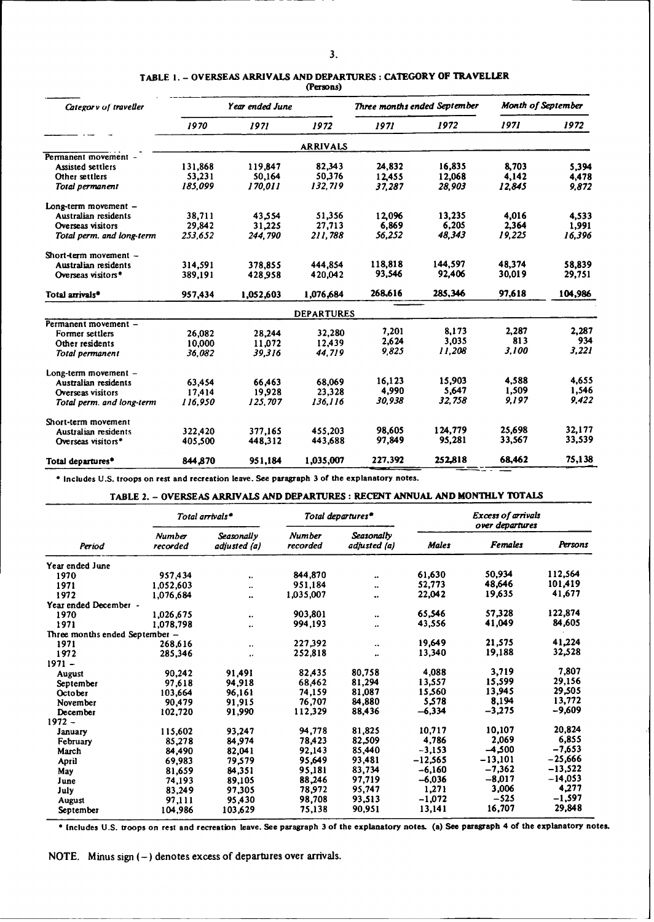# **TABLE I.** - **OVERSEAS ARRIVALS AND DEPARTURES : CATEGORY OF TRAVELLER**

|                               |                 |           | (Persons)         |                              |         |                           |         |
|-------------------------------|-----------------|-----------|-------------------|------------------------------|---------|---------------------------|---------|
| Category of traveller         | Year ended June |           |                   | Three months ended September |         | <b>Month of September</b> |         |
|                               | 1970            | 1971      | 1972              | 1971                         | 1972    | 1971                      | 1972    |
|                               |                 |           | <b>ARRIVALS</b>   |                              |         |                           |         |
| Permanent movement -          |                 |           |                   |                              |         |                           |         |
| <b>Assisted settlers</b>      | 131,868         | 119.847   | 82,343            | 24,832                       | 16,835  | 8,703                     | 5,394   |
| Other settlers                | 53,231          | 50,164    | 50,376            | 12.455                       | 12,068  | 4.142                     | 4,478   |
| Total permanent               | 185,099         | 170.011   | 132.719           | 37,287                       | 28.903  | 12,845                    | 9.872   |
| Long-term movement -          |                 |           |                   |                              |         |                           |         |
| Australian residents          | 38,711          | 43.554    | 51,356            | 12.096                       | 13.235  | 4.016                     | 4.533   |
| Overseas visitors             | 29,842          | 31.225    | 27,713            | 6,869                        | 6,205   | 2,364                     | 1.991   |
| Total perm. and long-term     | 253.652         | 244,790   | 211,788           | 56.252                       | 48.343  | 19,225                    | 16.396  |
| Short-term movement -         |                 |           |                   |                              |         |                           |         |
| Australian residents          | 314,591         | 378,855   | 444.854           | 118,818                      | 144,597 | 48,374                    | 58,839  |
| Overseas visitors*            | 389,191         | 428,958   | 420,042           | 93,546                       | 92.406  | 30.019                    | 29,751  |
| Total arrivals <sup>*</sup>   | 957,434         | 1,052,603 | 1,076,684         | 268,616                      | 285,346 | 97.618                    | 104,986 |
|                               |                 |           | <b>DEPARTURES</b> |                              |         |                           |         |
| Permanent movement -          |                 |           |                   |                              |         |                           |         |
| Former settlers               | 26,082          | 28.244    | 32,280            | 7,201                        | 8.173   | 2.287                     | 2.287   |
| Other residents               | 10.000          | 11.072    | 12,439            | 2.624                        | 3,035   | 813                       | 934     |
| Total permanent               | 36.082          | 39.316    | 44.719            | 9.825                        | 11.208  | 3.100                     | 3,221   |
| Long-term movement -          |                 |           |                   |                              |         |                           |         |
| Australian residents          | 63.454          | 66,463    | 68.069            | 16.123                       | 15.903  | 4.588                     | 4.655   |
| Overseas visitors             | 17,414          | 19.928    | 23.328            | 4,990                        | 5,647   | 1.509                     | 1,546   |
| Total perm. and long-term     | 116.950         | 125,707   | 136,116           | 30,938                       | 32.758  | 9.197                     | 9,422   |
| Short-term movement           |                 |           |                   |                              |         |                           |         |
| Australian residents          | 322,420         | 377.165   | 455.203           | 98,605                       | 124,779 | 25.698                    | 32,177  |
| Overseas visitors*            | 405,500         | 448,312   | 443,688           | 97,849                       | 95,281  | 33,567                    | 33,539  |
| Total departures <sup>*</sup> | 844.870         | 951,184   | 1,035,007         | 227.392                      | 252,818 | 68.462                    | 75,138  |

**\*** Includes U.S. troops on **rest and recreation leave. See paragraph** 3 of the **explanatory notes.**

### TABLE 2. - OVERSEAS **ARRIVALS AND DEPARTURES** : **RECENT ANNUAL AND MONTHLY TOTALS**

|                                |                    | Total arrivals*            |                           | Total departures <sup>*</sup> | <b>Excess of arrivals</b><br>over departures |                |           |  |
|--------------------------------|--------------------|----------------------------|---------------------------|-------------------------------|----------------------------------------------|----------------|-----------|--|
| Period                         | Number<br>recorded | Seasonally<br>adjusted (a) | <b>Number</b><br>recorded | Seasonally<br>adjusted (a)    | <b>Males</b>                                 | <b>Females</b> | Persons   |  |
| Year ended June                |                    |                            |                           |                               |                                              |                |           |  |
| 1970                           | 957,434            | $\ddot{\phantom{0}}$       | 844,870                   |                               | 61,630                                       | 50.934         | 112,564   |  |
| 1971                           | 1.052,603          | ٠.                         | 951.184                   |                               | 52,773                                       | 48,646         | 101,419   |  |
| 1972                           | 1,076,684          | $\ddot{\phantom{0}}$       | 1,035,007                 | ٠.                            | 22,042                                       | 19,635         | 41,677    |  |
| Year ended December -          |                    |                            |                           |                               |                                              |                |           |  |
| 1970                           | 1,026,675          |                            | 903,801                   |                               | 65,546                                       | 57,328         | 122,874   |  |
| 1971                           | 1,078,798          | $\ddotsc$                  | 994,193                   | ٠.                            | 43,556                                       | 41,049         | 84,605    |  |
| Three months ended September - |                    |                            |                           |                               |                                              |                |           |  |
| 1971                           | 268.616            |                            | 227.392                   | ٠.                            | 19.649                                       | 21,575         | 41.224    |  |
| 1972                           | 285,346            |                            | 252,818                   |                               | 13,340                                       | 19,188         | 32,528    |  |
| $1971 -$                       |                    |                            |                           |                               |                                              |                |           |  |
| <b>August</b>                  | 90,242             | 91.491                     | 82,435                    | 80.758                        | 4,088                                        | 3,719          | 7,807     |  |
| September                      | 97,618             | 94.918                     | 68,462                    | 81.294                        | 13.557                                       | 15.599         | 29,156    |  |
| October                        | 103,664            | 96,161                     | 74,159                    | 81,087                        | 15.560                                       | 13,945         | 29,505    |  |
| November                       | 90.479             | 91.915                     | 76,707                    | 84,880                        | 5.578                                        | 8,194          | 13,772    |  |
| December                       | 102,720            | 91,990                     | 112,329                   | 88.436                        | $-6,334$                                     | $-3.275$       | $-9,609$  |  |
| $1972 -$                       |                    |                            |                           |                               |                                              |                |           |  |
| January                        | 115,602            | 93,247                     | 94,778                    | 81,825                        | 10,717                                       | 10,107         | 20,824    |  |
| February                       | 85.278             | 84,974                     | 78,423                    | 82.509                        | 4,786                                        | 2.069          | 6,855     |  |
| March                          | 84,490             | 82,041                     | 92,143                    | 85,440                        | $-3.153$                                     | $-4.500$       | $-7,653$  |  |
| April                          | 69,983             | 79,579                     | 95,649                    | 93,481                        | $-12,565$                                    | $-13,101$      | $-25,666$ |  |
| May                            | 81,659             | 84,351                     | 95,181                    | 83,734                        | $-6.160$                                     | $-7.362$       | $-13,522$ |  |
| June                           | 74,193             | 89,105                     | 88,246                    | 97.719                        | $-6,036$                                     | $-8.017$       | $-14,053$ |  |
| July                           | 83,249             | 97.305                     | 78,972                    | 95,747                        | 1,271                                        | 3,006          | 4,277     |  |
| August                         | 97.111             | 95.430                     | 98,708                    | 93.513                        | $-1,072$                                     | $-525$         | $-1.597$  |  |
| September                      | 104,986            | 103,629                    | 75,138                    | 90,951                        | 13,141                                       | 16,707         | 29,848    |  |

**\* Includes** U.S. troops **on rest and recreation leave. See paragraph** 3 **of the explanatory notes. (a) See paragraph 4 of the explanatory notes.**

NOTE. **Minus sign** (-) **denotes excess of departures over arrivals.**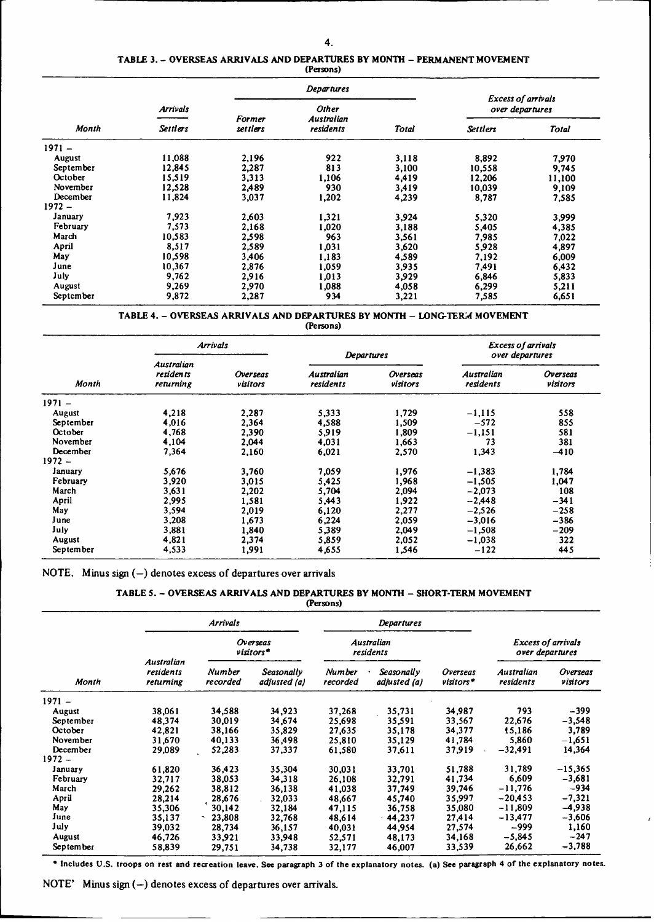#### TABLE 3. - OVERSEAS ARRIVALS AND DEPARTURES BY MONTH - PERMANENT MOVEMENT **(Persons)**

|               |                 |                                                      | <b>Departures</b> |       |                                              |        |  |
|---------------|-----------------|------------------------------------------------------|-------------------|-------|----------------------------------------------|--------|--|
|               | <b>Arrivals</b> |                                                      | <b>Other</b>      |       | <b>Excess of arrivals</b><br>over departures |        |  |
| Month         | <b>Settlers</b> | Australian<br><b>Former</b><br>residents<br>settlers |                   | Total | <b>Settlers</b>                              | Total  |  |
| $1971 -$      |                 |                                                      |                   |       |                                              |        |  |
| <b>August</b> | 11,088          | 2,196                                                | 922               | 3,118 | 8,892                                        | 7.970  |  |
| September     | 12,845          | 2,287                                                | 813               | 3.100 | 10,558                                       | 9,745  |  |
| October       | 15,519          | 3,313                                                | 1,106             | 4,419 | 12,206                                       | 11,100 |  |
| November      | 12,528          | 2,489                                                | 930               | 3,419 | 10,039                                       | 9,109  |  |
| December      | 11,824          | 3,037                                                | 1,202             | 4,239 | 8,787                                        | 7,585  |  |
| $1972 -$      |                 |                                                      |                   |       |                                              |        |  |
| January       | 7,923           | 2,603                                                | 1.321             | 3,924 | 5,320                                        | 3,999  |  |
| February      | 7.573           | 2,168                                                | 1,020             | 3,188 | 5.405                                        | 4,385  |  |
| March         | 10,583          | 2.598                                                | 963               | 3,561 | 7,985                                        | 7,022  |  |
| April         | 8,517           | 2,589                                                | 1,031             | 3,620 | 5,928                                        | 4,897  |  |
| May           | 10,598          | 3,406                                                | 1,183             | 4,589 | 7,192                                        | 6,009  |  |
| June          | 10,367          | 2,876                                                | 1.059             | 3.935 | 7,491                                        | 6,432  |  |
| July          | 9,762           | 2,916                                                | 1.013             | 3,929 | 6,846                                        | 5,833  |  |
| August        | 9,269           | 2,970                                                | 1,088             | 4,058 | 6,299                                        | 5,211  |  |
| September     | 9,872           | 2,287                                                | 934               | 3,221 | 7,585                                        | 6,651  |  |

## TABLE 4. - OVERSEAS ARRIVALS AND DEPARTURES BY MONTH - **LONG-TERM** MOVEMENT

#### **(Persons)**

|               | <b>Arrivals</b>        |                      |                         |                      | <b>Excess of arrivals</b><br>over departures |                      |  |
|---------------|------------------------|----------------------|-------------------------|----------------------|----------------------------------------------|----------------------|--|
|               | Australian             |                      | <b>Departures</b>       |                      |                                              |                      |  |
| Month         | residents<br>returning | Overseas<br>visitors | Australian<br>residents | Overseas<br>visitors | Australian<br>residents                      | Overseas<br>visitors |  |
| $1971 -$      |                        |                      |                         |                      |                                              |                      |  |
| <b>August</b> | 4,218                  | 2,287                | 5,333                   | 1,729                | $-1,115$                                     | 558                  |  |
| September     | 4,016                  | 2.364                | 4,588                   | 1,509                | $-572$                                       | 855                  |  |
| October       | 4,768                  | 2,390                | 5,919                   | 1,809                | $-1,151$                                     | 581                  |  |
| November      | 4,104                  | 2,044                | 4,031                   | 1,663                | 73                                           | 381                  |  |
| December      | 7,364                  | 2,160                | 6,021                   | 2,570                | 1,343                                        | $-410$               |  |
| $1972 -$      |                        |                      |                         |                      |                                              |                      |  |
| January       | 5,676                  | 3.760                | 7.059                   | 1.976                | $-1.383$                                     | 1,784                |  |
| February      | 3,920                  | 3.015                | 5,425                   | 1,968                | $-1,505$                                     | 1,047                |  |
| March         | 3.631                  | 2,202                | 5,704                   | 2.094                | $-2.073$                                     | 108                  |  |
| April         | 2,995                  | 1.581                | 5,443                   | 1,922                | $-2,448$                                     | $-341$               |  |
| May           | 3,594                  | 2,019                | 6,120                   | 2,277                | $-2,526$                                     | $-258$               |  |
| June          | 3,208                  | 1.673                | 6,224                   | 2,059                | $-3,016$                                     | $-386$               |  |
| July          | 3,881                  | 1.840                | 5,389                   | 2.049                | $-1.508$                                     | $-209$               |  |
| August        | 4,821                  | 2,374                | 5,859                   | 2,052                | $-1,038$                                     | 322                  |  |
| September     | 4,533                  | 1,991                | 4,655                   | 1,546                | $-122$                                       | 445                  |  |

NOTE. Minus sign  $(-)$  denotes excess of departures over arrivals

# TABLE **5.** - OVERSEAS ARRIVALS AND DEPARTURES BY MONTH - SHORT-TERM MOVEMENT

| (Persons) |
|-----------|
|-----------|

|               |                                      | <b>Arrivals</b>    |                            | <b>Departures</b>         |                            |                                              |                         |                      |
|---------------|--------------------------------------|--------------------|----------------------------|---------------------------|----------------------------|----------------------------------------------|-------------------------|----------------------|
|               | Overseas<br>visitors*                |                    |                            | Australian<br>residents   |                            | <b>Excess of arrivals</b><br>over departures |                         |                      |
| <b>Month</b>  | Australian<br>residents<br>returning | Number<br>recorded | Seasonally<br>adjusted (a) | <b>Number</b><br>recorded | Seasonally<br>adjusted (a) | Overseas<br>visitors*                        | Australian<br>residents | Overseas<br>visitors |
| $1971 -$      |                                      |                    |                            |                           |                            |                                              |                         |                      |
| <b>August</b> | 38,061                               | 34,588             | 34,923                     | 37,268                    | 35,731                     | 34.987                                       | 793                     | $-399$               |
| September     | 48,374                               | 30,019             | 34,674                     | 25,698                    | 35,591                     | 33,567                                       | 22,676                  | $-3,548$             |
| October       | 42,821                               | 38,166             | 35,829                     | 27,635                    | 35,178                     | 34,377                                       | 15.186                  | 3,789                |
| November      | 31,670                               | 40,133             | 36,498                     | 25,810                    | 35,129                     | 41,784                                       | 5,860                   | $-1,651$             |
| December      | 29,089                               | 52,283             | 37,337                     | 61,580                    | 37,611                     | 37,919                                       | $-32,491$               | 14,364               |
| $1972 -$      |                                      |                    |                            |                           |                            |                                              |                         |                      |
| January       | 61,820                               | 36,423             | 35,304                     | 30.031                    | 33,701                     | 51,788                                       | 31,789                  | $-15,365$            |
| February      | 32,717                               | 38,053             | 34,318                     | 26,108                    | 32,791                     | 41,734                                       | 6,609                   | $-3,681$             |
| March         | 29,262                               | 38,812             | 36,138                     | 41,038                    | 37,749                     | 39,746                                       | $-11,776$               | $-934$               |
| April         | 28,214                               | 28,676             | 32,033                     | 48,667                    | 45.740                     | 35.997                                       | $-20.453$               | $-7,321$             |
| May           | 35,306                               | 30,142             | 32,184                     | 47,115                    | 36,758                     | 35,080                                       | $-11,809$               | $-4,938$             |
| June          | 35,137                               | 23,808             | 32,768                     | 48.614                    | 44,237                     | 27,414                                       | $-13,477$               | $-3,606$             |
| July          | 39,032                               | 28,734             | 36,157                     | 40,031                    | 44,954                     | 27,574                                       | -999                    | 1,160                |
| <b>August</b> | 46,726                               | 33,921             | 33,948                     | 52,571                    | 48,173                     | 34,168                                       | $-5,845$                | $-247$               |
| September     | 58,839                               | 29,751             | 34,738                     | 32,177                    | 46,007                     | 33,539                                       | 26,662                  | $-3,788$             |

**"** Includes U.S. troops on rest and recreation leave. See paragraph **3** of the explanatory notes. (a) See paragraph 4 of the explanatory notes.

NOTE' Minus sign  $(-)$  denotes excess of departures over arrivals.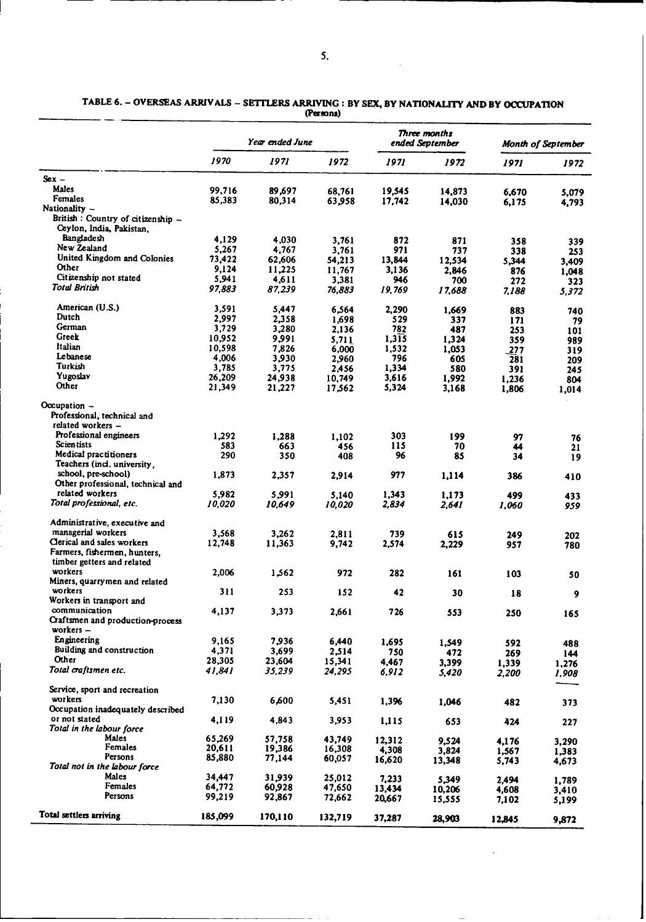|                                               |            | Year ended June |                |              | Three months<br>ended September |                | <b>Month of September</b> |  |
|-----------------------------------------------|------------|-----------------|----------------|--------------|---------------------------------|----------------|---------------------------|--|
|                                               | 1970       | 1971            | 1972           | 1971         | 1972                            | 1971           | 1972                      |  |
| $Sex -$                                       |            |                 |                |              |                                 |                |                           |  |
| <b>Males</b>                                  | 99,716     | 89,697          | 68,761         | 19,545       | 14,873                          | 6,670          | 5.079                     |  |
| <b>Females</b>                                | 85,383     | 80,314          | 63,958         | 17,742       | 14,030                          | 6,175          | 4,793                     |  |
| Nationality -                                 |            |                 |                |              |                                 |                |                           |  |
| British : Country of citizenship -            |            |                 |                |              |                                 |                |                           |  |
| Ceylon, India, Pakistan,                      |            |                 |                |              |                                 |                |                           |  |
| Bangladesh                                    | 4,129      | 4,030           | 3,761          | 872          | 871                             | 358            | 339                       |  |
| New Zealand                                   | 5,267      | 4,767           | 3,761          | 971          | 737                             | 338            | 253                       |  |
| United Kingdom and Colonies<br>Other          | 73,422     | 62,606          | 54,213         | 13,844       | 12,534                          | 5,344          | 3,409                     |  |
| Citizenship not stated                        | 9,124      | 11,225          | 11,767         | 3,136        | 2,846                           | 876            | 1,048                     |  |
| <b>Total British</b>                          | 5,941      | 4,611           | 3,381          | 946          | 700                             | 272            | 323                       |  |
|                                               | 97,883     | 87,239          | 76,883         | 19,769       | 17,688                          | 7,188          | 5,372                     |  |
| American (U.S.)                               | 3,591      | 5,447           |                |              |                                 |                |                           |  |
| Dutch                                         | 2,997      | 2,358           | 6,564<br>1,698 | 2,290<br>529 | 1,669<br>337                    | 883            | 740                       |  |
| German                                        | 3,729      | 3,280           | 2,136          | 782          | 487                             | 171<br>253     | 79                        |  |
| Greek                                         | 10,952     | 9,991           | 5,711          | 1,315        | 1.324                           | 359            | 101<br>989                |  |
| Italian                                       | 10,598     | 7,826           | 6,000          | 1,532        | 1,053                           | 277            | 319                       |  |
| Lebanese                                      | 4,006      | 3,930           | 2.960          | 796          | 605                             | 281            | 209                       |  |
| Turkish                                       | 3,785      | 3,775           | 2,456          | 1,334        | 580                             | 391            | 245                       |  |
| Yugoslav                                      | 26,209     | 24,938          | 10,749         | 3,616        | 1,992                           | 1,236          | 804                       |  |
| Other                                         | 21,349     | 21,227          | 17,562         | 5,324        | 3,168                           | 1,806          | 1,014                     |  |
| Occupation $-$<br>Professional, technical and |            |                 |                |              |                                 |                |                           |  |
| related workers -                             |            |                 |                |              |                                 |                |                           |  |
| Professional engineers<br>Scientists          | 1.292      | 1,288           | 1,102          | 303<br>115   | 199                             | 97             | 76                        |  |
| <b>Medical practitioners</b>                  | 583<br>290 | 663<br>350      | 456<br>408     | 96           | 70<br>85                        | 44             | 21                        |  |
| Teachers (incl. university,                   |            |                 |                |              |                                 | 34             | 19                        |  |
| school, pre-school)                           | 1,873      | 2,357           | 2,914          | 977          | 1,114                           | 386            | 410                       |  |
| Other professional, technical and             |            |                 |                |              |                                 |                |                           |  |
| related workers                               | 5.982      | 5.991           | 5,140          | 1,343        | 1,173                           | 499            | 433                       |  |
| Total professional, etc.                      | 10,020     | 10,649          | 10,020         | 2,834        | 2,641                           | 1.060          | 959                       |  |
|                                               |            |                 |                |              |                                 |                |                           |  |
| Administrative, executive and                 |            |                 |                |              |                                 |                |                           |  |
| managerial workers                            | 3,568      | 3,262           | 2.811          | 739          | 615                             | 249            | 202                       |  |
| Clerical and sales workers                    | 12,748     | 11,363          | 9,742          | 2,574        | 2,229                           | 957            | 780                       |  |
| Farmers, fishermen, hunters,                  |            |                 |                |              |                                 |                |                           |  |
| timber getters and related<br>workers         |            |                 |                |              |                                 |                |                           |  |
| Miners, quarrymen and related                 | 2,006      | 1,562           | 972            | 282          | 161                             | 103            | 50                        |  |
| workers                                       | 311        | 253             | 152            | 42           | 30                              |                |                           |  |
| Workers in transport and                      |            |                 |                |              |                                 | 18             | 9                         |  |
| communication                                 | 4,137      | 3,373           | 2,661          | 726          | 553                             | 250            | 165                       |  |
| Craftsmen and production-process              |            |                 |                |              |                                 |                |                           |  |
| workers-                                      |            |                 |                |              |                                 |                |                           |  |
| Engineering                                   | 9,165      | 7,936           | 6,440          | 1,695        | 1,549                           | 592            | 488                       |  |
| Building and construction                     | 4,371      | 3,699           | 2,514          | 750          | 472                             | 269            | 144                       |  |
| Other                                         | 28,305     | 23,604          | 15,341         | 4,467        | 3,399                           | 1,339          | 1,276                     |  |
| Total craftsmen etc.                          | 41,841     | 35,239          | 24,295         | 6,912        | 5,420                           | 2,200          | 1,908                     |  |
|                                               |            |                 |                |              |                                 |                |                           |  |
| Service, sport and recreation<br>workers      |            |                 |                |              |                                 |                |                           |  |
| Occupation inadequately described             | 7,130      | 6,600           | 5.451          | 1,396        | 1,046                           | 482            | 373                       |  |
| or not stated                                 | 4,119      | 4,843           | 3,953          |              |                                 |                |                           |  |
| Total in the labour force                     |            |                 |                | 1,115        | 653                             | 424            | 227                       |  |
| Males                                         | 65.269     | 57,758          | 43,749         | 12,312       | 9,524                           |                |                           |  |
| Females                                       | 20,611     | 19,386          | 16,308         | 4,308        | 3,824                           | 4,176<br>1,567 | 3,290                     |  |
| Persons                                       | 85,880     | 77,144          | 60,057         | 16,620       | 13,348                          | 5,743          | 1,383<br>4,673            |  |
| Total not in the labour force                 |            |                 |                |              |                                 |                |                           |  |
| Males                                         | 34,447     | 31,939          | 25,012         | 7,233        | 5.349                           | 2,494          | 1,789                     |  |
| Females                                       | 64,772     | 60,928          | 47,650         | 13,434       | 10,206                          | 4,608          | 3,410                     |  |
| Persons                                       | 99,219     | 92,867          | 72,662         | 20,667       | 15,555                          | 7,102          | 5,199                     |  |
| Total settlers arriving                       |            |                 |                |              |                                 |                |                           |  |
|                                               | 185,099    | 170,110         | 132,719        | 37,287       | 28,903                          | 12,845         | 9,872                     |  |
|                                               |            |                 |                |              |                                 |                |                           |  |

TABLE 6. - OVERSEAS ARRIVALS - SETFLERS ARRIVING : BY **SEX,** BY NATIONALITY AND BY OCCUPATION (Persons) 

 $\sim$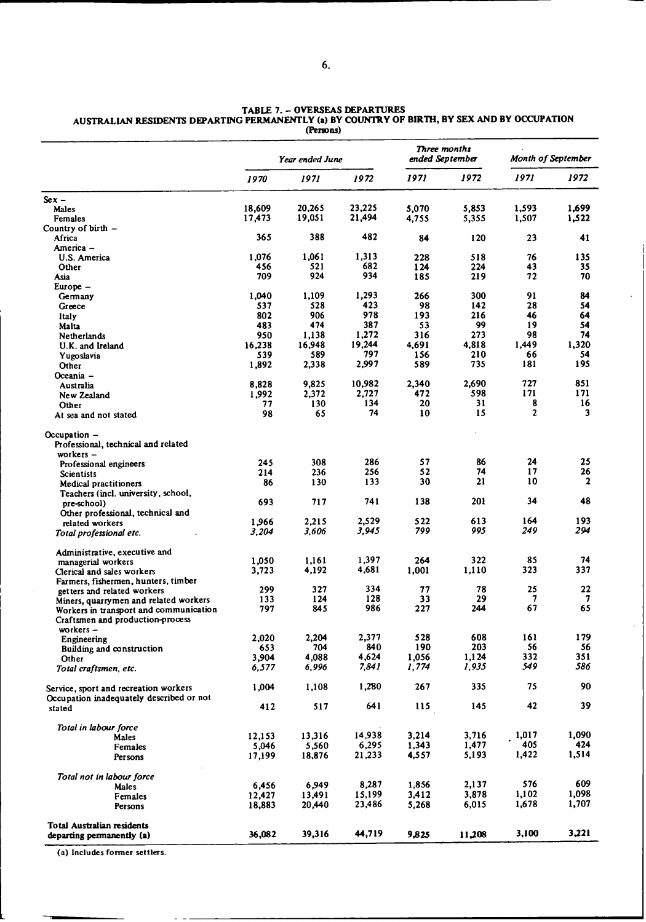|                                                                                         |          | Year ended June |              | Three months<br>ended September |              |                | <b>Month of September</b> |
|-----------------------------------------------------------------------------------------|----------|-----------------|--------------|---------------------------------|--------------|----------------|---------------------------|
|                                                                                         | 1970     | 1971            | 1972         | 1971                            | 1972         | 1971           | 1972                      |
| $Sex -$                                                                                 |          |                 |              |                                 |              |                |                           |
| Males                                                                                   | 18,609   | 20,265          | 23,225       | 5,070                           | 5,853        | 1,593          | 1.699                     |
| Females                                                                                 | 17,473   | 19,051          | 21,494       | 4,755                           | 5,355        | 1,507          | 1,522                     |
| Country of birth -                                                                      |          |                 |              |                                 |              |                |                           |
| Africa                                                                                  | 365      | 388             | 482          | 84                              | 120          | 23             | 41                        |
| America –                                                                               |          |                 |              |                                 |              |                |                           |
| U.S. America                                                                            | 1,076    | 1,061           | 1.313        | 228                             | 518          | 76             | 135                       |
| Other                                                                                   | 456      | 521             | 682          | 124                             | 224          | 43             | 35                        |
| Asia                                                                                    | 709      | 924             | 934          | 185                             | 219          | 72             | 70                        |
| Europe –                                                                                |          |                 |              |                                 |              |                |                           |
| Germany                                                                                 | 1,040    | 1,109           | 1.293        | 266                             | 300          | 91             | 84                        |
| Greece                                                                                  | 537      | 528             | 423          | 98                              | 142          | 28             | 54                        |
| <b>Italy</b>                                                                            | 802      | 906             | 978          | 193                             | 216          | 46             | 64                        |
| Malta                                                                                   | 483      | 474             | 387          | 53                              | 99           | 19             | 54                        |
| Netherlands                                                                             | 950      | 1.138           | 1,272        | 316                             | 273          | 98             | 74                        |
| U.K. and Ireland                                                                        | 16,238   | 16,948          | 19,244       | 4,691                           | 4,818        | 1,449          | 1,320                     |
| Yugoslavia                                                                              | 539      | 589             | 797          | 156                             | 210          | 66             | 54                        |
| Other                                                                                   | 1,892    | 2,338           | 2,997        | 589                             | 735          | 181            | 195                       |
| Oceania –                                                                               |          |                 |              |                                 |              | 727            | 851                       |
| Australia                                                                               | 8,828    | 9,825           | 10,982       | 2,340<br>472                    | 2,690<br>598 | 171            | 171                       |
| New Zealand                                                                             | 1,992    | 2,372           | 2,727<br>134 | 20                              | 31           | 8              | 16                        |
| Other                                                                                   | 77<br>98 | 130<br>65       | 74           | 10                              | 15           | $\mathbf{2}$   | 3                         |
| At sea and not stated                                                                   |          |                 |              |                                 |              |                |                           |
| $Occulation -$<br>Professional, technical and related<br>workers $-$                    |          |                 |              |                                 |              |                |                           |
| Professional engineers                                                                  | 245      | 308             | 286          | 57                              | 86           | 24             | 25                        |
| <b>Scientists</b>                                                                       | 214      | 236             | 256          | 52                              | 74           | 17             | 26                        |
| Medical practitioners                                                                   | 86       | 130             | 133          | 30                              | 21           | 10             | $\overline{\mathbf{c}}$   |
| Teachers (incl. university, school,                                                     |          |                 |              |                                 |              |                |                           |
| pre-school)                                                                             | 693      | 717             | 741          | 138                             | 201          | 34             | 48                        |
| Other professional, technical and                                                       |          |                 |              |                                 |              |                |                           |
| related workers                                                                         | 1,966    | 2,215           | 2,529        | 522                             | 613          | 164            | 193                       |
| Total professional etc.                                                                 | 3,204    | 3,606           | 3,945        | 799                             | 995          | 249            | 294                       |
|                                                                                         |          |                 |              |                                 |              |                |                           |
| Administrative, executive and                                                           |          |                 |              |                                 |              |                |                           |
| managerial workers                                                                      | 1,050    | 1,161           | 1,397        | 264                             | 322          | 85             | 74                        |
| Clerical and sales workers                                                              | 3,723    | 4,192           | 4,681        | 1,001                           | 1,110        | 323            | 337                       |
| Farmers, fishermen, hunters, timber                                                     |          |                 |              |                                 |              |                |                           |
| getters and related workers                                                             | 299      | 327             | 334          | 77                              | 78           | 25             | 22                        |
| Miners, quarrymen and related workers                                                   | 133      | 124             | 128          | 33                              | 29           | 7              | 7                         |
| Workers in transport and communication<br>Craftsmen and production-process<br>workers - | 797      | 845             | 986          | 227                             | 244          | 67             | 65                        |
| Engineering                                                                             | 2,020    | 2,204           | 2,377        | 528                             | 608          | 161            | 179.                      |
| Building and construction                                                               | 653      | 704             | 840          | 190                             | 203          | 56             | 56                        |
| Other                                                                                   | 3,904    | 4,088           | 4,624        | 1,056                           | 1,124        | 332            | 351                       |
| Total craftsmen, etc.                                                                   | 6,577    | 6,996           | 7,841        | 1,774                           | 1,935        | 549            | 586                       |
| Service, sport and recreation workers<br>Occupation inadequately described or not       | 1,004    | 1,108           | 1,280        | 267                             | 335          | 75             | 90                        |
| stated                                                                                  | 412      | 517             | 641          | 115                             | 145          | 42             | 39                        |
|                                                                                         |          |                 |              |                                 |              |                |                           |
| Total in labour force                                                                   |          |                 |              |                                 |              |                |                           |
| Males                                                                                   | 12,153   | 13,316          | 14,938       | 3,214                           | 3,716        | 1,017          | 1,090                     |
| Females                                                                                 | 5,046    | 5,560           | 6,295        | 1,343                           | 1,477        | 405            | 424                       |
| Persons                                                                                 | 17,199   | 18,876          | 21,233       | 4,557                           | 5,193        | 1,422          | 1,514                     |
|                                                                                         |          |                 |              |                                 |              |                |                           |
| Total not in labour force                                                               |          |                 |              |                                 |              | 576            | 609                       |
| Males                                                                                   | 6,456    | 6,949           | 8,287        | 1,856                           | 2,137        |                | 1,098                     |
| Females                                                                                 | 12,427   | 13,491          | 15,199       | 3,412                           | 3,878        | 1,102<br>1,678 | 1,707                     |
| Persons                                                                                 | 18,883   | 20,440          | 23,486       | 5,268                           | 6,015        |                |                           |

**36,082 39,316 44,719 9,825 11,208 3,100 3,221**

#### **TABLE** 7. - **OVERSEAS DEPARTURES AUSTRALIAN RESIDENTS DEPARTING PERMANENTLY (a) BY COUNTRY OF BIRTH, BY SEX AND BY OCCUPATION (Persons)**

(a) Includes former settlers.

**Total Australian residents departing permanently (a)**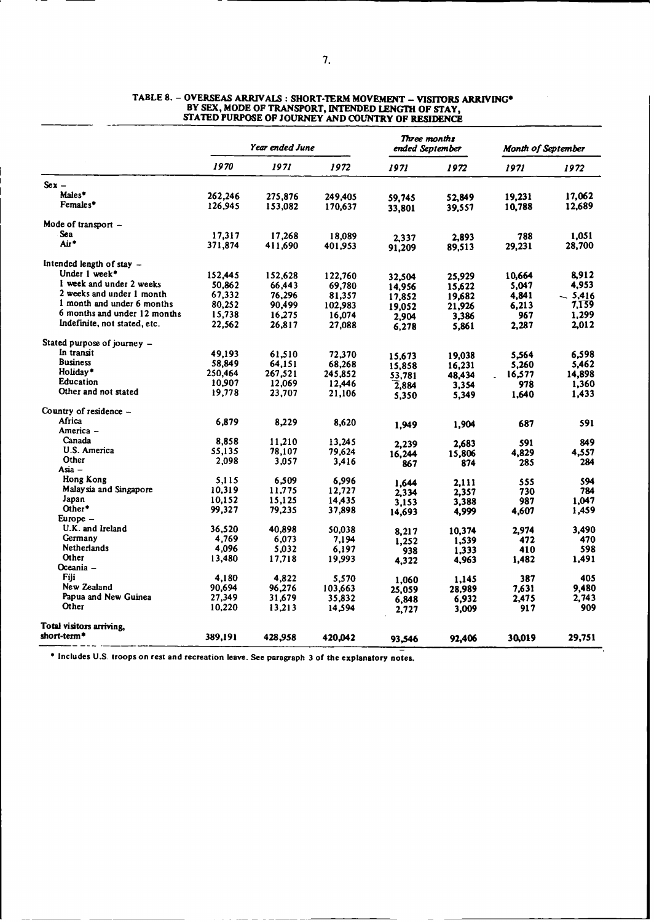|                                         | Year ended June |         |                  | Three months<br>ended September |                | Month of September |              |
|-----------------------------------------|-----------------|---------|------------------|---------------------------------|----------------|--------------------|--------------|
|                                         | 1970            | 1971    | 1972             | 1971                            | 1972           | 1971               | 1972         |
| $Sex -$                                 |                 |         |                  |                                 |                |                    |              |
| Males*                                  | 262,246         | 275,876 | 249,405          | 59,745                          | 52,849         | 19,231             | 17.062       |
| Females*                                | 126,945         | 153,082 | 170,637          | 33,801                          | 39,557         | 10,788             | 12,689       |
| Mode of transport -                     |                 |         |                  |                                 |                |                    |              |
| Sea                                     | 17,317          | 17,268  | 18,089           | 2,337                           | 2,893          | 788                | 1.051        |
| Air*                                    | 371,874         | 411,690 | 401,953          | 91,209                          | 89,513         | 29,231             | 28,700       |
| Intended length of stay $-$             |                 |         |                  |                                 |                |                    |              |
| Under 1 week*                           | 152,445         | 152,628 | 122,760          | 32,504                          | 25,929         | 10.664             | 8,912        |
| I week and under 2 weeks                | 50,862          | 66,443  | 69,780           | 14,956                          | 15,622         | 5,047              | 4,953        |
| 2 weeks and under 1 month               | 67,332          | 76,296  | 81,357           |                                 |                | 4,841              | $-5,416$     |
| 1 month and under 6 months              | 80,252          | 90,499  | 102,983          | 17,852                          | 19,682         | 6,213              | 7.139        |
| 6 months and under 12 months            | 15,738          | 16,275  |                  | 19,052                          | 21,926         |                    |              |
| Indefinite, not stated, etc.            | 22,562          |         | 16,074           | 2.904                           | 3.386          | 967                | 1,299        |
|                                         |                 | 26,817  | 27,088           | 6,278                           | 5,861          | 2,287              | 2,012        |
| Stated purpose of journey $-$           |                 |         |                  |                                 |                |                    |              |
| In transit                              | 49,193          | 61,510  | 72,370           | 15,673                          | 19,038         | 5,564              | 6,598        |
| <b>Business</b>                         | 58,849          | 64,151  | 68,268           | 15,858                          | 16,231         | 5,260              | 5,462        |
| Holiday*                                | 250,464         | 267,521 | 245,852          | 53,781                          | 48,434         | 16,577             | 14,898       |
| Education                               | 10,907          | 12,069  | 12,446           | 2,884                           | 3.354          | 978                | 1,360        |
| Other and not stated                    | 19,778          | 23,707  | 21.106           | 5,350                           | 5,349          | 1,640              | 1,433        |
| Country of residence -                  |                 |         |                  |                                 |                |                    |              |
| Africa                                  | 6,879           | 8,229   | 8,620            | 1.949                           | 1,904          | 687                | 591          |
| America -                               |                 |         |                  |                                 |                |                    |              |
| Canada                                  | 8,858           | 11,210  | 13,245           | 2,239                           | 2,683          | 591                | 849          |
| U.S. America                            | 55,135          | 78,107  | 79,624           | 16,244                          | 15,806         | 4,829              | 4,557        |
| Other                                   | 2,098           | 3.057   | 3,416            | 867                             | 874            | 285                | 284          |
| Asia -                                  |                 |         |                  |                                 |                |                    |              |
| Hong Kong                               | 5.115           | 6.509   | 6.996            |                                 | 2.111          | 555                | 594          |
| Malaysia and Singapore                  | 10,319          | 11,775  | 12,727           | 1,644                           |                | 730                | 784          |
| Japan                                   | 10,152          | 15,125  | 14,435           | 2.334                           | 2,357<br>3,388 | 987                | 1,047        |
| Other*                                  | 99,327          | 79,235  | 37,898           | 3,153                           |                | 4,607              | 1,459        |
| Europe –                                |                 |         |                  | 14,693                          | 4,999          |                    |              |
| U.K. and Ireland                        | 36,520          | 40.898  | 50.038           |                                 | 10,374         | 2,974              | 3,490        |
| Germany                                 | 4,769           | 6,073   | 7.194            | 8,217                           |                | 472                | 470          |
| Netherlands                             | 4.096           | 5,032   | 6,197            | 1.252                           | 1,539          | 410                | 598          |
| Other                                   | 13,480          | 17,718  | 19,993           | 938                             | 1,333          |                    | 1,491        |
| Oceania -                               |                 |         |                  | 4,322                           | 4,963          | 1,482              |              |
| Fiii                                    | 4,180           | 4,822   | 5,570            |                                 |                |                    | 405          |
| New Zealand                             | 90,694          | 96.276  |                  | 1.060                           | 1.145          | 387                | 9,480        |
| Papua and New Guinea                    | 27,349          | 31,679  | 103,663          | 25,059                          | 28,989         | 7.631              |              |
| Other                                   | 10,220          | 13,213  | 35,832<br>14,594 | 6,848<br>2.727                  | 6,932<br>3,009 | 2,475<br>917       | 2,743<br>909 |
|                                         |                 |         |                  |                                 |                |                    |              |
| Total visitors arriving,<br>short-term* | 389,191         | 428.958 | 420.042          | 93.546                          | 92,406         | 30.019             | 29,751       |

**TABLE 8.** - **OVERSEAS ARRIVALS** : **SHORT-TERM MOVEMENT** - **VISITORS** ARRIVING\* **BY SEX, MODE OF TRANSPORT, INTENDED LENGTH OF STAY, STATED PURPOSE OF JOURNEY AND COUNTRY OF RESIDENCE**

Includes U.S. troops on rest and recreation leave. **See** paragraph **3 of** the explanatory notes.